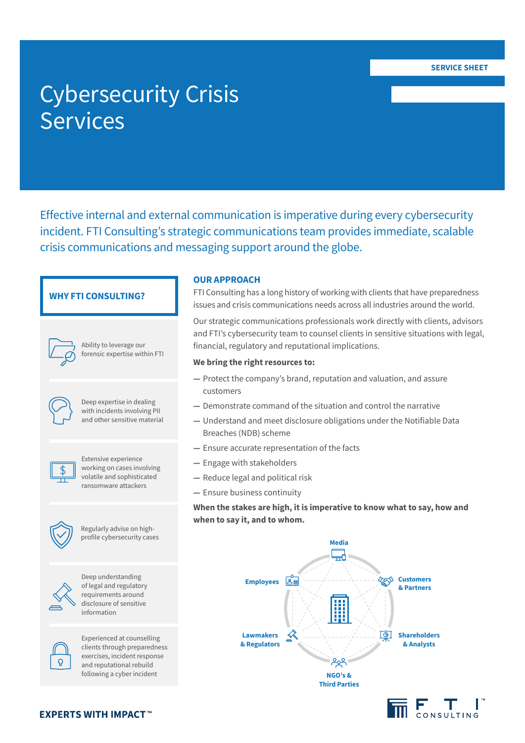# Cybersecurity Crisis Services

Effective internal and external communication is imperative during every cybersecurity incident. FTI Consulting's strategic communications team provides immediate, scalable crisis communications and messaging support around the globe.

## **WHY FTI CONSULTING?**

Ability to leverage our forensic expertise within FTI



Deep expertise in dealing with incidents involving PII and other sensitive material



Extensive experience working on cases involving volatile and sophisticated ransomware attackers



Regularly advise on highprofile cybersecurity cases



Deep understanding of legal and regulatory requirements around disclosure of sensitive information



Experienced at counselling clients through preparedness exercises, incident response and reputational rebuild following a cyber incident

**EXPERTS WITH IMPACT™** 

#### **OUR APPROACH**

FTI Consulting has a long history of working with clients that have preparedness issues and crisis communications needs across all industries around the world.

Our strategic communications professionals work directly with clients, advisors and FTI's cybersecurity team to counsel clients in sensitive situations with legal, financial, regulatory and reputational implications.

### **We bring the right resources to:**

- **—** Protect the company's brand, reputation and valuation, and assure customers
- **—** Demonstrate command of the situation and control the narrative
- **—** Understand and meet disclosure obligations under the Notifiable Data Breaches (NDB) scheme
- **—** Ensure accurate representation of the facts
- **—** Engage with stakeholders
- **—** Reduce legal and political risk
- **—** Ensure business continuity

**When the stakes are high, it is imperative to know what to say, how and when to say it, and to whom.**



 $\overline{\mathsf{n}}$   $\mathsf{F}$   $\mathsf{T}$   $\mathsf{l}$